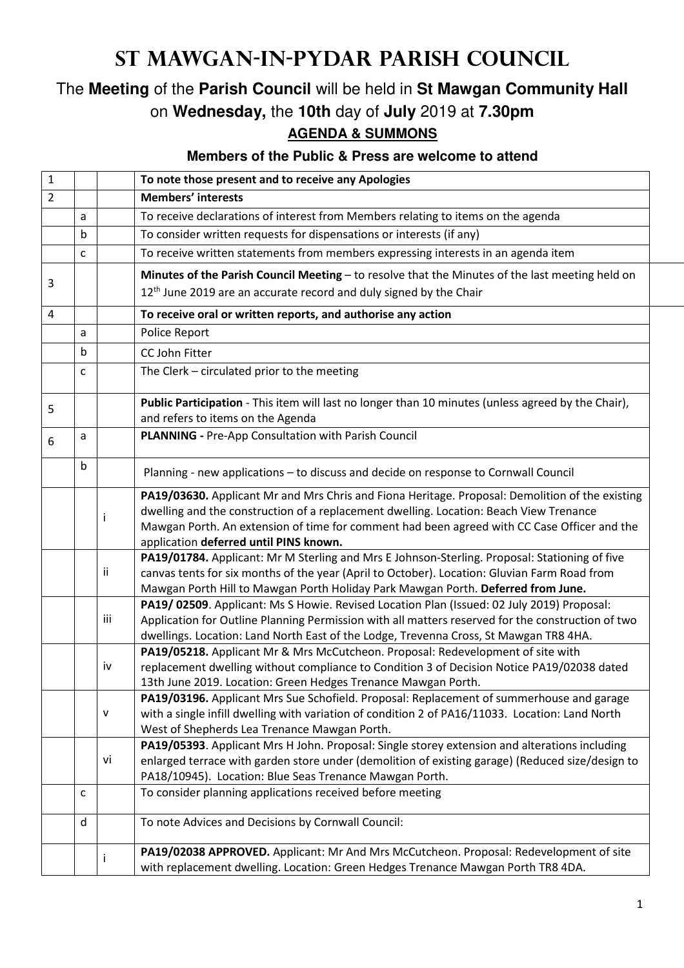## **St Mawgan-in-Pydar Parish Council**

## The **Meeting** of the **Parish Council** will be held in **St Mawgan Community Hall** on **Wednesday,** the **10th** day of **July** 2019 at **7.30pm AGENDA & SUMMONS**

## **Members of the Public & Press are welcome to attend**

| $\mathbf{1}$   |   |           | To note those present and to receive any Apologies                                                                                                                                            |
|----------------|---|-----------|-----------------------------------------------------------------------------------------------------------------------------------------------------------------------------------------------|
| $\overline{2}$ |   |           | <b>Members' interests</b>                                                                                                                                                                     |
|                | a |           | To receive declarations of interest from Members relating to items on the agenda                                                                                                              |
|                | b |           | To consider written requests for dispensations or interests (if any)                                                                                                                          |
|                | C |           | To receive written statements from members expressing interests in an agenda item                                                                                                             |
|                |   |           | Minutes of the Parish Council Meeting - to resolve that the Minutes of the last meeting held on                                                                                               |
| 3              |   |           | 12 <sup>th</sup> June 2019 are an accurate record and duly signed by the Chair                                                                                                                |
| 4              |   |           | To receive oral or written reports, and authorise any action                                                                                                                                  |
|                | a |           | Police Report                                                                                                                                                                                 |
|                | b |           | CC John Fitter                                                                                                                                                                                |
|                | C |           | The Clerk - circulated prior to the meeting                                                                                                                                                   |
|                |   |           |                                                                                                                                                                                               |
|                |   |           | Public Participation - This item will last no longer than 10 minutes (unless agreed by the Chair),                                                                                            |
| 5              |   |           | and refers to items on the Agenda                                                                                                                                                             |
| 6              | а |           | PLANNING - Pre-App Consultation with Parish Council                                                                                                                                           |
|                |   |           |                                                                                                                                                                                               |
|                | b |           | Planning - new applications - to discuss and decide on response to Cornwall Council                                                                                                           |
|                |   |           | PA19/03630. Applicant Mr and Mrs Chris and Fiona Heritage. Proposal: Demolition of the existing                                                                                               |
|                |   | j.        | dwelling and the construction of a replacement dwelling. Location: Beach View Trenance                                                                                                        |
|                |   |           | Mawgan Porth. An extension of time for comment had been agreed with CC Case Officer and the                                                                                                   |
|                |   |           | application deferred until PINS known.                                                                                                                                                        |
|                |   | ii        | PA19/01784. Applicant: Mr M Sterling and Mrs E Johnson-Sterling. Proposal: Stationing of five<br>canvas tents for six months of the year (April to October). Location: Gluvian Farm Road from |
|                |   |           | Mawgan Porth Hill to Mawgan Porth Holiday Park Mawgan Porth. Deferred from June.                                                                                                              |
|                |   |           | PA19/02509. Applicant: Ms S Howie. Revised Location Plan (Issued: 02 July 2019) Proposal:                                                                                                     |
|                |   | iii       | Application for Outline Planning Permission with all matters reserved for the construction of two                                                                                             |
|                |   |           | dwellings. Location: Land North East of the Lodge, Trevenna Cross, St Mawgan TR8 4HA.                                                                                                         |
|                |   |           | PA19/05218. Applicant Mr & Mrs McCutcheon. Proposal: Redevelopment of site with                                                                                                               |
|                |   | iv        | replacement dwelling without compliance to Condition 3 of Decision Notice PA19/02038 dated                                                                                                    |
|                |   |           | 13th June 2019. Location: Green Hedges Trenance Mawgan Porth.<br>PA19/03196. Applicant Mrs Sue Schofield. Proposal: Replacement of summerhouse and garage                                     |
|                |   | ${\sf v}$ | with a single infill dwelling with variation of condition 2 of PA16/11033. Location: Land North                                                                                               |
|                |   |           | West of Shepherds Lea Trenance Mawgan Porth.                                                                                                                                                  |
|                |   |           | PA19/05393. Applicant Mrs H John. Proposal: Single storey extension and alterations including                                                                                                 |
|                |   | vi        | enlarged terrace with garden store under (demolition of existing garage) (Reduced size/design to                                                                                              |
|                |   |           | PA18/10945). Location: Blue Seas Trenance Mawgan Porth.                                                                                                                                       |
|                | с |           | To consider planning applications received before meeting                                                                                                                                     |
|                | d |           | To note Advices and Decisions by Cornwall Council:                                                                                                                                            |
|                |   |           | PA19/02038 APPROVED. Applicant: Mr And Mrs McCutcheon. Proposal: Redevelopment of site                                                                                                        |
|                |   | Ť.        | with replacement dwelling. Location: Green Hedges Trenance Mawgan Porth TR8 4DA.                                                                                                              |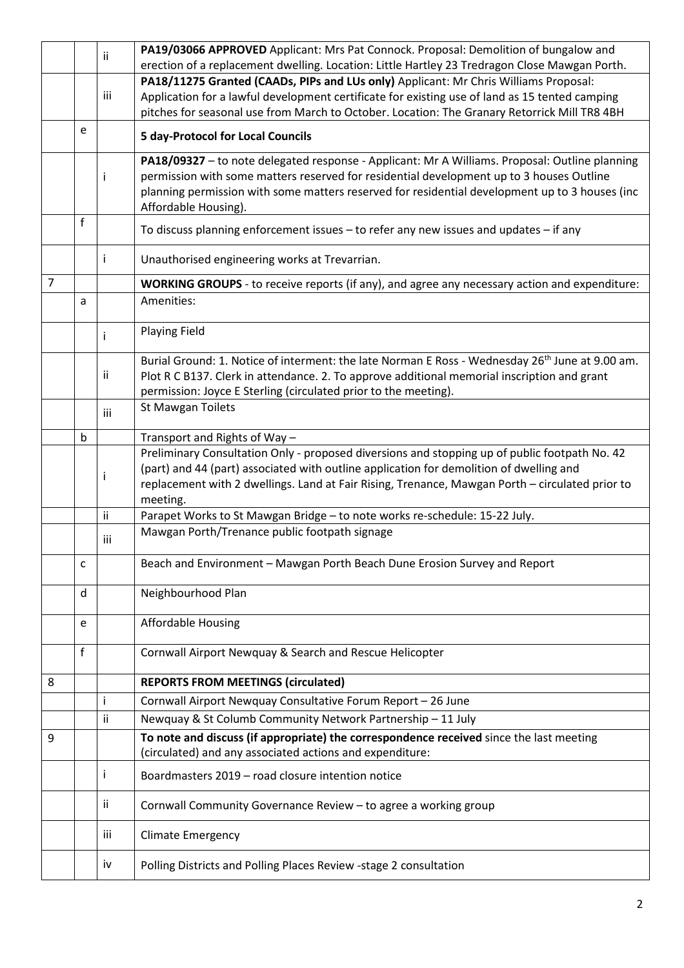|                |   | ii. | PA19/03066 APPROVED Applicant: Mrs Pat Connock. Proposal: Demolition of bungalow and                        |
|----------------|---|-----|-------------------------------------------------------------------------------------------------------------|
|                |   |     | erection of a replacement dwelling. Location: Little Hartley 23 Tredragon Close Mawgan Porth.               |
|                |   |     | PA18/11275 Granted (CAADs, PIPs and LUs only) Applicant: Mr Chris Williams Proposal:                        |
|                |   | iii | Application for a lawful development certificate for existing use of land as 15 tented camping              |
|                |   |     | pitches for seasonal use from March to October. Location: The Granary Retorrick Mill TR8 4BH                |
|                | e |     | <b>5 day-Protocol for Local Councils</b>                                                                    |
|                |   |     | PA18/09327 - to note delegated response - Applicant: Mr A Williams. Proposal: Outline planning              |
|                |   | j.  | permission with some matters reserved for residential development up to 3 houses Outline                    |
|                |   |     | planning permission with some matters reserved for residential development up to 3 houses (inc              |
|                |   |     | Affordable Housing).                                                                                        |
|                | f |     | To discuss planning enforcement issues - to refer any new issues and updates - if any                       |
|                |   | j.  | Unauthorised engineering works at Trevarrian.                                                               |
| $\overline{7}$ |   |     | WORKING GROUPS - to receive reports (if any), and agree any necessary action and expenditure:               |
|                | a |     | Amenities:                                                                                                  |
|                |   | i.  | <b>Playing Field</b>                                                                                        |
|                |   |     | Burial Ground: 1. Notice of interment: the late Norman E Ross - Wednesday 26 <sup>th</sup> June at 9.00 am. |
|                |   | Ϊİ  | Plot R C B137. Clerk in attendance. 2. To approve additional memorial inscription and grant                 |
|                |   |     | permission: Joyce E Sterling (circulated prior to the meeting).                                             |
|                |   | iii | St Mawgan Toilets                                                                                           |
|                |   |     |                                                                                                             |
|                | b |     | Transport and Rights of Way -                                                                               |
|                |   |     | Preliminary Consultation Only - proposed diversions and stopping up of public footpath No. 42               |
|                |   | i.  | (part) and 44 (part) associated with outline application for demolition of dwelling and                     |
|                |   |     | replacement with 2 dwellings. Land at Fair Rising, Trenance, Mawgan Porth - circulated prior to             |
|                |   |     | meeting.                                                                                                    |
|                |   | ii  | Parapet Works to St Mawgan Bridge - to note works re-schedule: 15-22 July.                                  |
|                |   | iii | Mawgan Porth/Trenance public footpath signage                                                               |
|                |   |     |                                                                                                             |
|                | c |     | Beach and Environment - Mawgan Porth Beach Dune Erosion Survey and Report                                   |
|                | d |     | Neighbourhood Plan                                                                                          |
|                | e |     | <b>Affordable Housing</b>                                                                                   |
|                |   |     |                                                                                                             |
|                | f |     | Cornwall Airport Newquay & Search and Rescue Helicopter                                                     |
| 8              |   |     | <b>REPORTS FROM MEETINGS (circulated)</b>                                                                   |
|                |   | Ť   | Cornwall Airport Newquay Consultative Forum Report - 26 June                                                |
|                |   | ii  | Newquay & St Columb Community Network Partnership - 11 July                                                 |
| 9              |   |     | To note and discuss (if appropriate) the correspondence received since the last meeting                     |
|                |   |     | (circulated) and any associated actions and expenditure:                                                    |
|                |   | i.  | Boardmasters 2019 - road closure intention notice                                                           |
|                |   | ΪĹ  | Cornwall Community Governance Review - to agree a working group                                             |
|                |   | iii | Climate Emergency                                                                                           |
|                |   | iv  | Polling Districts and Polling Places Review -stage 2 consultation                                           |